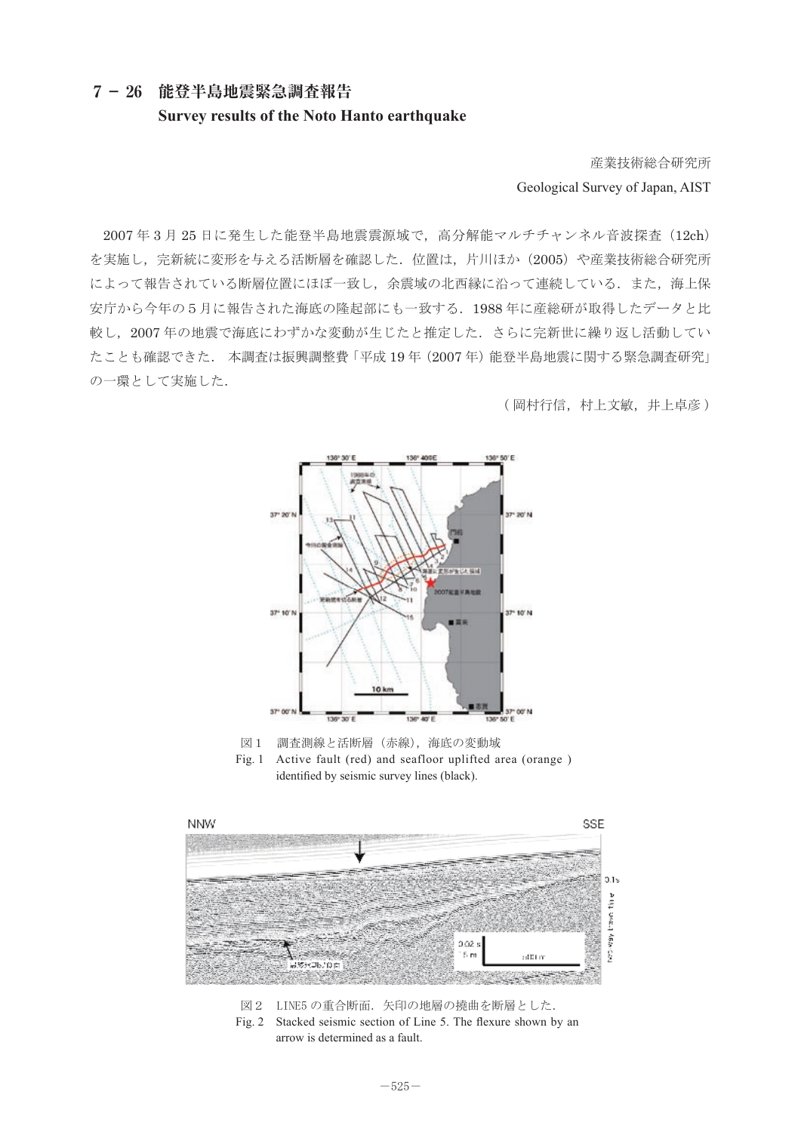**7- 26 能登半島地震緊急調査報告 Survey results of the Noto Hanto earthquake**

産業技術総合研究所 Geological Survey of Japan, AIST

2007年3月25日に発生した能登半島地震震源域で, 高分解能マルチチャンネル音波探査 (12ch) を実施し、完新統に変形を与える活断層を確認した. 位置は、片川ほか (2005) や産業技術総合研究所 によって報告されている断層位置にほぼ一致し,余震域の北西縁に沿って連続している.また,海上保 安庁から今年の5月に報告された海底の隆起部にも一致する. 1988年に産総研が取得したデータと比 較し, 2007年の地震で海底にわずかな変動が生じたと推定した. さらに完新世に繰り返し活動してい たことも確認できた.本調査は振興調整費 「平成 19 年 (2007 年) 能登半島地震に関する緊急調査研究」 の一環として実施した. ๔ߚࠇߐᶏᐩߩ㓉ㇱ߽ߦ৻⥌ࠆߔ㧚1988 ᐕߦ⎇✚↥߇ขᓧߣ࠲࠺ߚߒᲧセߒ㧘2007 ᐕߩ㔡ߢᶏᐩࠊߦ <u>∽ ि</u>  $\kappa$  с с  $\kappa$  да с го

○ 19 萬村行信,村上文敏,井上卓彦) ᢛ⾌ޟᐔᚑ 19 ᐕ㧔2007 ᐕ㧕⢻⊓ඨፉ㔡ߦ㑐ࠆߔ✕ᕆ⺞ᩏ⎇ⓥߩޠ৻Ⅳߡߒߣታᣉߚߒ㧚



図1 調査測線と活断層(赤線),海底の変動域 Fig. 1 Active fault (red) and seafloor uplifted area (orange ) Fig. 1 Active fault (red) and seafloor uplifted area (orange )identified by seismic survey lines (black). ࿑㧝㧦⺞ᩏ᷹✢ߣᵴᢿጀ㧔⿒✢㧕㧘ᶏᐩߩᄌേၞ identified by seismic survey lines (black).



Fig. 2 Stacked seismic section of Line 5. The flexure shown by an arrow is determined as a fault. arrow is determined as a fault.